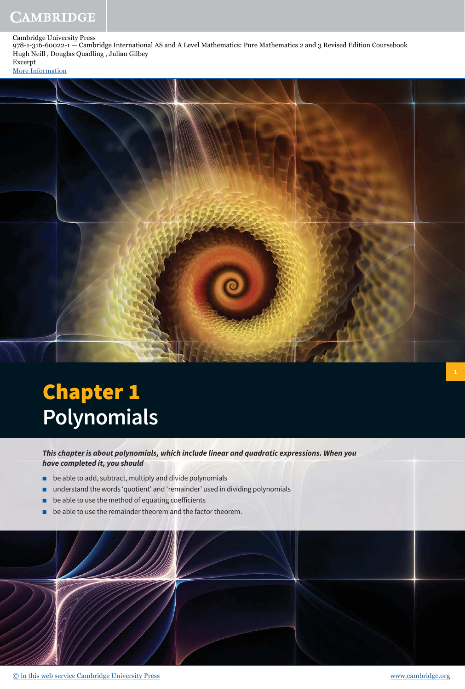Cambridge University Press

978-1-316-60022-1 — Cambridge International AS and A Level Mathematics: Pure Mathematics 2 and 3 Revised Edition Coursebook Hugh Neill , Douglas Quadling , Julian Gilbey Excerpt

[More Information](www.cambridge.org/9781316600221)



# Chapter 1 **Polynomials**

**This chapter is about polynomials, which include linear and quadratic expressions. When you have completed it, you should**

- be able to add, subtract, multiply and divide polynomials
- understand the words 'quotient' and 'remainder' used in dividing polynomials
- $\blacksquare$  be able to use the method of equating coefficients
- be able to use the remainder theorem and the factor theorem.

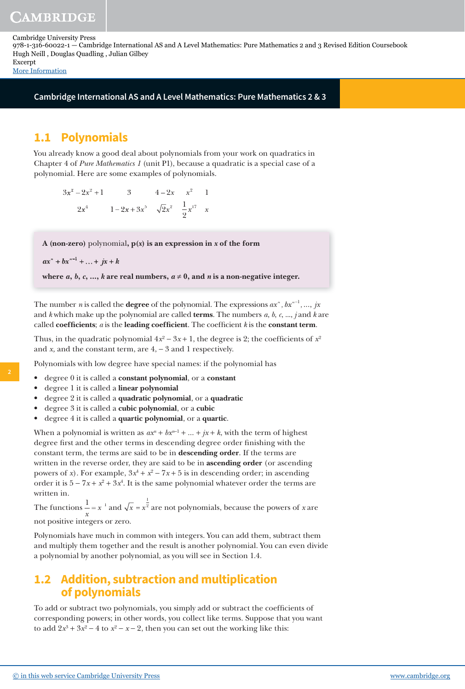**Cambridge International AS and A Level Mathematics: Pure Mathematics 2 & 3**

# **1.1 Polynomials**

You already know a good deal about polynomials from your work on quadratics in Chapter 4 of *Pure Mathematics 1* (unit P1), because a quadratic is a special case of a polynomial. Here are some examples of polynomials.

 $3x^2 - 2x^2 + 1$  3  $4 - 2x$   $x^2$  1  $2x^4$   $1-2x+3x^5$   $\sqrt{2}x^2$   $\frac{1}{2}$ 2  $1 - 2x + 3x^5$   $\sqrt{2x^2}$   $\frac{1}{2}x^{17}$  x

**A (non-zero)** polynomial**, p(x) is an expression in x of the form** 

```
ax^{n} + bx^{n-1} + ... + jx + k
```
where  $a, b, c, ..., k$  are real numbers,  $a \neq 0$ , and  $n$  is a non-negative integer.

The number *n* is called the **degree** of the polynomial. The expressions  $ax^n$  ,  $bx^{n-1}$  , ...,  $jx$ and *k* which make up the polynomial are called **terms**. The numbers *a*, *b*, *c*, ..., *j* and *k* are called **coefficients**;  $a$  is the **leading coefficient**. The coefficient  $k$  is the **constant term**.

Thus, in the quadratic polynomial  $4x^2 - 3x + 1$ , the degree is 2; the coefficients of  $x^2$ and *x,* and the constant term, are 4, − 3 and 1 respectively.

Polynomials with low degree have special names: if the polynomial has

- degree 0 it is called a **constant polynomial**, or a **constant**
- degree 1 it is called a **linear polynomial**
- degree 2 it is called a **quadratic polynomial**, or a **quadratic**
- degree 3 it is called a **cubic polynomial**, or a **cubic**
- degree 4 it is called a **quartic polynomial**, or a **quartic**.

When a polynomial is written as  $ax^n + bx^{n-1} + ... + jx + k$ , with the term of highest degree first and the other terms in descending degree order finishing with the constant term, the terms are said to be in **descending order**. If the terms are written in the reverse order, they are said to be in **ascending order** (or ascending powers of *x*). For example,  $3x^4 + x^2 - 7x + 5$  is in descending order; in ascending order it is  $5 - 7x + x^2 + 3x^4$ . It is the same polynomial whatever order the terms are written in.

The functions  $\frac{1}{x} = x^{-1}$ *x*  $=x^{-1}$  and  $\sqrt{x} = x$ 1 2 are not polynomials, because the powers of *x* are not positive integers or zero.

Polynomials have much in common with integers. You can add them, subtract them and multiply them together and the result is another polynomial. You can even divide a polynomial by another polynomial, as you will see in Section 1.4.

# **1.2 Addition, subtraction and multiplication of polynomials**

To add or subtract two polynomials, you simply add or subtract the coefficients of corresponding powers; in other words, you collect like terms. Suppose that you want to add  $2x^3 + 3x^2 - 4$  to  $x^2 - x - 2$ , then you can set out the working like this:

**2**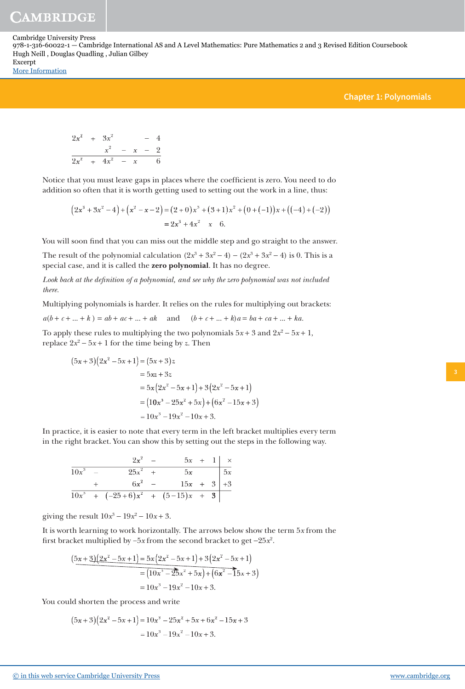Cambridge University Press

978-1-316-60022-1 — Cambridge International AS and A Level Mathematics: Pure Mathematics 2 and 3 Revised Edition Coursebook Hugh Neill , Douglas Quadling , Julian Gilbey Excerpt

[More Information](www.cambridge.org/9781316600221)

#### **Chapter 1: Polynomials**

$$
2x2 + 3x2 - 4
$$
  

$$
x2 - x - 2
$$
  

$$
2x2 + 4x2 - x - 6
$$

Notice that you must leave gaps in places where the coefficient is zero. You need to do addition so often that it is worth getting used to setting out the work in a line, thus:

$$
(2x3 + 3x2 - 4) + (x2 - x - 2) = (2 + 0)x3 + (3 + 1)x2 + (0 + (-1))x + ((-4) + (-2))
$$
  
= 2x<sup>3</sup> + 4x<sup>2</sup> - x - 6.

You will soon find that you can miss out the middle step and go straight to the answer.

The result of the polynomial calculation  $(2x^3 + 3x^2 - 4) - (2x^3 + 3x^2 - 4)$  is 0. This is a special case, and it is called the **zero polynomial**. It has no degree.

Look back at the definition of a polynomial, and see why the zero polynomial was not included *there.*

Multiplying polynomials is harder. It relies on the rules for multiplying out brackets:

 $a(b+c+...+k) = ab + ac + ... + ak$  and  $(b+c+...+k)a = ba + ca + ... + ka$ .

To apply these rules to multiplying the two polynomials  $5x + 3$  and  $2x^2 - 5x + 1$ , replace  $2x^2 - 5x + 1$  for the time being by *z*. Then

$$
(5x+3)(2x2-5x+1) = (5x+3)z
$$
  
= 5xz + 3z  
= 5x(2x<sup>2</sup>-5x+1)+3(2x<sup>2</sup>-5x+1)  
= (10x<sup>3</sup>-25x<sup>2</sup>+5x)+(6x<sup>2</sup>-15x+3)  
= 10x<sup>3</sup>-19x<sup>2</sup>-10x+3.

In practice, it is easier to note that every term in the left bracket multiplies every term in the right bracket. You can show this by setting out the steps in the following way.

|           | $2x^2$ –                               | $5x + 1 \mid x$ |  |  |
|-----------|----------------------------------------|-----------------|--|--|
| $10x^3$ – | $25x^2$ +                              | $5x$ $5x$       |  |  |
|           | $6x^2$ –                               | $15x + 3 + 3$   |  |  |
|           | $10x^3$ + $(-25+6)x^2$ + $(5-15)x$ + 3 |                 |  |  |

giving the result  $10x^3 - 19x^2 - 10x + 3$ .

It is worth learning to work horizontally. The arrows below show the term 5*x* from the first bracket multiplied by  $-5x$  from the second bracket to get  $-25x^2$ .

$$
\frac{(5x+3)(2x^2-5x+1)-5x(2x^2-5x+1)+3(2x^2-5x+1)}{=(10x^3-25x^2+5x)+(6x^2-15x+3)}
$$
  
= 10x<sup>3</sup>-19x<sup>2</sup> - 10x + 3.

You could shorten the process and write

$$
(5x+3)(2x2-5x+1)=10x3-25x2+5x+6x2-15x+3
$$
  
=10x<sup>3</sup>-19x<sup>2</sup>-10x+3.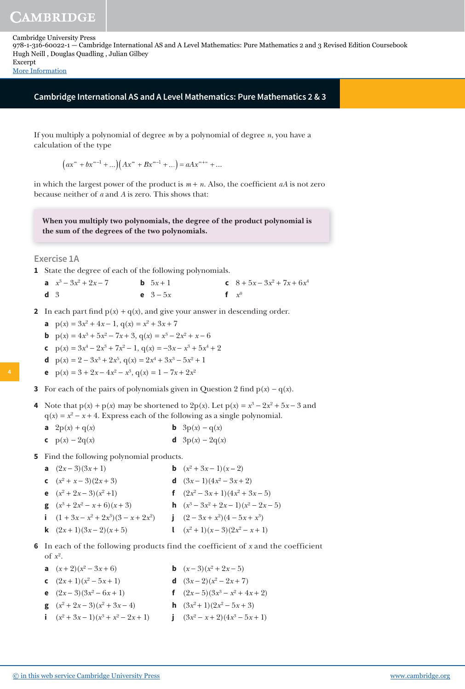[More Information](www.cambridge.org/9781316600221)

# **Cambridge International AS and A Level Mathematics: Pure Mathematics 2 & 3**

If you multiply a polynomial of degree *m* by a polynomial of degree *n*, you have a calculation of the type

 $\int (ax^m + bx^{m-1} + ...) (Ax^m + Bx^{m-1} + ...) = aAx^{m+n} + ...$ 

in which the largest power of the product is  $m + n$ . Also, the coefficient *aA* is not zero because neither of *a* and *A* is zero. This shows that:

**When you multiply two polynomials, the degree of the product polynomial is the sum of the degrees of the two polynomials.**

**Exercise 1A**

**1** State the degree of each of the following polynomials.

|                | a $x^3 - 3x^2 + 2x - 7$ | <b>b</b> $5x + 1$ | c $8+5x-3x^2+7x+6x^4$ |
|----------------|-------------------------|-------------------|-----------------------|
| d <sub>3</sub> |                         | <b>e</b> $3 - 5x$ | f $x^0$               |

- **2** In each part find  $p(x) + q(x)$ , and give your answer in descending order.
- **a**  $p(x) = 3x^2 + 4x 1$ ,  $q(x) = x^2 + 3x + 7$

**b** 
$$
p(x) = 4x^3 + 5x^2 - 7x + 3
$$
,  $q(x) = x^3 - 2x^2 + x - 6$ 

- **c**  $p(x) = 3x^4 2x^3 + 7x^2 1$ ,  $q(x) = -3x x^3 + 5x^4 + 2$
- **d**  $p(x) = 2 3x^3 + 2x^5$ ,  $q(x) = 2x^4 + 3x^3 5x^2 + 1$
- **e**  $p(x) = 3 + 2x 4x^2 x^3$ ,  $q(x) = 1 7x + 2x^2$
- **3** For each of the pairs of polynomials given in Question 2 find  $p(x) q(x)$ .
- **4** Note that  $p(x) + p(x)$  may be shortened to  $2p(x)$ . Let  $p(x) = x^3 2x^2 + 5x 3$  and  $q(x) = x^2 - x + 4$ . Express each of the following as a single polynomial.
	- **a**  $2p(x) + q(x)$  **b**  $3p(x) q(x)$
	- **c**  $p(x) 2q(x)$  **d**  $3p(x) 2q(x)$

**5** Find the following polynomial products.

- **a**  $(2x-3)(3x+1)$ **b**  $(x^2 + 3x - 1)(x - 2)$ **c**  $(x^2 + x - 3)(2x + 3)$  **d**  $(3x - 1)(4x)$  $(x^2-3x+2)$
- **e**  $(x^2 + 2x 3)(x)$  $f \quad (2x^2 - 3x + 1)(4x^2 + 3x - 5)$
- **g**  $(x^3 + 2x^2 x + 6)(x + 3)$  **h** (*x*  $3-3x^2+2x-1(x^2-2x-5)$
- **i**  $(1 + 3x x^2 + 2x^3)(3 x + 2x^2)$ 2) **j**  $(2 - 3x + x^2)(4 - 5x + x^3)$ 
	- **k**  $(2x+1)(3x-2)(x+5)$  $(x^2+1)(x-3)(2x^2-x+1)$
- **6** In each of the following products find the coefficient of *x* and the coefficient of  $x^2$ .
- **a**  $(x+2)(x^2)$  $(x-3)(x^2+2x-5)$
- **c**  $(2x+1)(x^2)$  $-5x+1$  **d**  $(3x-2)(x^2-2x+7)$
- **e**  $(2x-3)(3x^2)$  $f (2x-5)(3x^3 - x^2 + 4x + 2)$
- **g**  $(x^2 + 2x 3)(x^2 + 3x 4)$  **h**  $(3x^2 + 3x 4)$  $(x^2+1)(2x^2-5x+3)$
- **i**  $(x^2 + 3x 1)(x^3 + x^2 2x + 1)$  **j**  $(3x^3 + x^2 2x + 1)$  $(x^2 - x + 2)(4x^3 - 5x + 1)$

**4**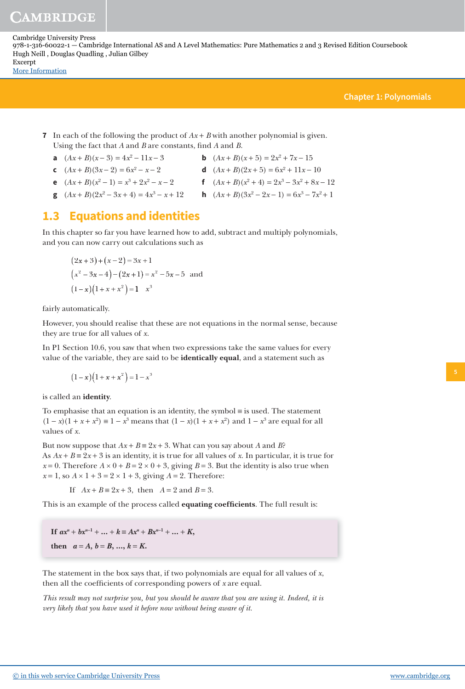**Chapter 1: Polynomials**

## **7** In each of the following the product of *Ax* + *B* with another polynomial is given. Using the fact that *A* and *B* are constants, find *A* and *B*.

- **a**  $(Ax + B)(x 3) = 4x^2$
- **c**  $(Ax + B)(3x 2) = 6x^2$
- $$ 
	- $-x-2$  **d**  $(Ax+B)(2x+5) = 6x^2 + 11x 10$
- **e**  $(Ax+B)(x^2-1) = x^3 + 2x^2$
- $-x-2$  **f**  $(Ax+B)(x^2+4) = 2x^3 3x^2 + 8x 12$
- **g**  $(Ax+B)(2x^2-3x+4)=4x^3$  $- x + 12$  **h**  $(Ax + B)(3x^2 - 2x - 1) = 6x^3 - 7x^2 + 1$

# **1.3 Equations and identities**

In this chapter so far you have learned how to add, subtract and multiply polynomials, and you can now carry out calculations such as

$$
(2x+3)+(x-2) = 3x+1
$$
  
\n
$$
(x2-3x-4)-(2x+1) = x2-5x-5
$$
 and  
\n
$$
(1-x)(1+x+x2) = 1-x3
$$

fairly automatically.

However, you should realise that these are not equations in the normal sense, because they are true for all values of *x*.

In P1 Section 10.6, you saw that when two expressions take the same values for every value of the variable, they are said to be **identically equal**, and a statement such as

$$
(1-x)(1+x+x^2) = 1-x^3
$$

is called an **identity**.

To emphasise that an equation is an identity, the symbol ≡ is used. The statement  $(1 - x)(1 + x + x^2) \equiv 1 - x^3$  means that  $(1 - x)(1 + x + x^2)$  and  $1 - x^3$  are equal for all values of *x*.

But now suppose that  $Ax + B = 2x + 3$ . What can you say about *A* and *B*? As  $Ax + B = 2x + 3$  is an identity, it is true for all values of x. In particular, it is true for  $x = 0$ . Therefore  $A \times 0 + B = 2 \times 0 + 3$ , giving  $B = 3$ . But the identity is also true when  $x = 1$ , so  $A \times 1 + 3 = 2 \times 1 + 3$ , giving  $A = 2$ . Therefore:

If  $Ax + B ≡ 2x + 3$ , then  $A = 2$  and  $B = 3$ .

This is an example of the process called **equating coefficients**. The full result is:

**If**  $ax^n + bx^{n-1} + ... + k \equiv Ax^n + Bx^{n-1} + ... + K$ **then**  $a = A, b = B, ..., k = K$ .

The statement in the box says that, if two polynomials are equal for all values of *x*, then all the coefficients of corresponding powers of *x* are equal.

*This result may not surprise you, but you should be aware that you are using it. Indeed, it is very likely that you have used it before now without being aware of it.*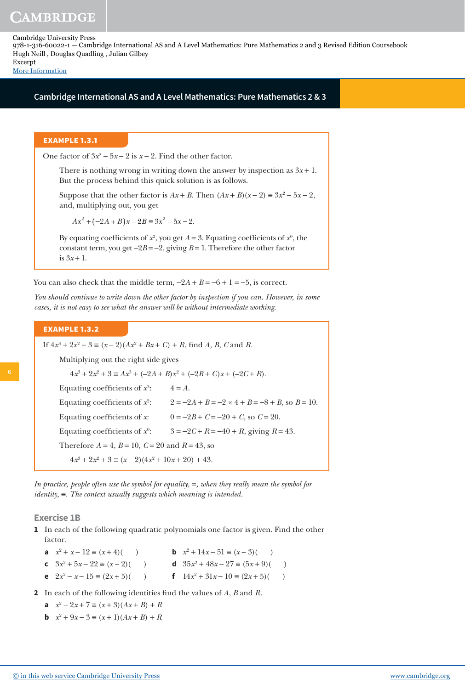[More Information](www.cambridge.org/9781316600221)

#### **Cambridge International AS and A Level Mathematics: Pure Mathematics 2 & 3**

#### **EXAMPLE 1.3.1**

One factor of  $3x^2 - 5x - 2$  is  $x - 2$ . Find the other factor.

There is nothing wrong in writing down the answer by inspection as  $3x + 1$ . But the process behind this quick solution is as follows.

Suppose that the other factor is  $Ax + B$ . Then  $(Ax + B)(x - 2) \equiv 3x^2 - 5x - 2$ , and, multiplying out, you get

 $Ax^{2} + (-2A + B)x - 2B \equiv 3x^{2} - 5x - 2.$ 

By equating coefficients of  $x^2$ , you get  $A = 3$ . Equating coefficients of  $x^0$ , the constant term, you get −2*B* = −2, giving *B* = 1. Therefore the other factor is  $3x + 1$ .

You can also check that the middle term,  $-2A + B = -6 + 1 = -5$ , is correct.

*You should continue to write down the other factor by inspection if you can. However, in some cases, it is not easy to see what the answer will be without intermediate working.*

#### **EXAMPLE 1.3.2**

If  $4x^3 + 2x^2 + 3 \equiv (x - 2)(Ax^2 + Bx + C) + R$ , find *A*, *B*, *C* and *R*.

Multiplying out the right side gives

 $4x^3 + 2x^2 + 3 \equiv Ax^3 + (-2A + B)x^2 + (-2B + C)x + (-2C + R).$ Equating coefficients of  $x^3$  $4 = A$ .

Equating coefficients of  $x^2$  $2 = -2A + B = -2 \times 4 + B = -8 + B$ , so  $B = 10$ . Equating coefficients of *x*:  $0 = -2B + C = -20 + C$ , so  $C = 20$ . Equating coefficients of  $\mathit{x}^{0}$  $3 = -2C + R = -40 + R$ , giving  $R = 43$ . Therefore  $A = 4$ ,  $B = 10$ ,  $C = 20$  and  $R = 43$ , so  $4x^3 + 2x^2 + 3 \equiv (x - 2)(4x^2 + 10x + 20) + 43.$ 

*In practice, people often use the symbol for equality, =, when they really mean the symbol for identity,* ≡*. The context usually suggests which meaning is intended.*

#### **Exercise 1B**

- **1** In each of the following quadratic polynomials one factor is given. Find the other factor.
- **a**  $x^2 + x 12 \equiv (x+4)(x-4)$  **b** x
- **b**  $x^2 + 14x 51 \equiv (x 3)(x 3)$ **c**  $3x^2 + 5x - 22 \equiv (x - 2)(x - 3)$  **d**  $35x$ **d**  $35x^2 + 48x - 27 \equiv (5x + 9)()$
- **e**  $2x^2 x 15 \equiv (2x + 5)$ ( ) **f**  $14x$ **f**  $14x^2 + 31x - 10 \equiv (2x + 5)()$
- **2** In each of the following identities find the values of *A*, *B* and *R*.

**a** 
$$
x^2 - 2x + 7 \equiv (x+3)(Ax+B) + R
$$

**b**  $x^2 + 9x - 3 \equiv (x+1)(Ax+B) + R$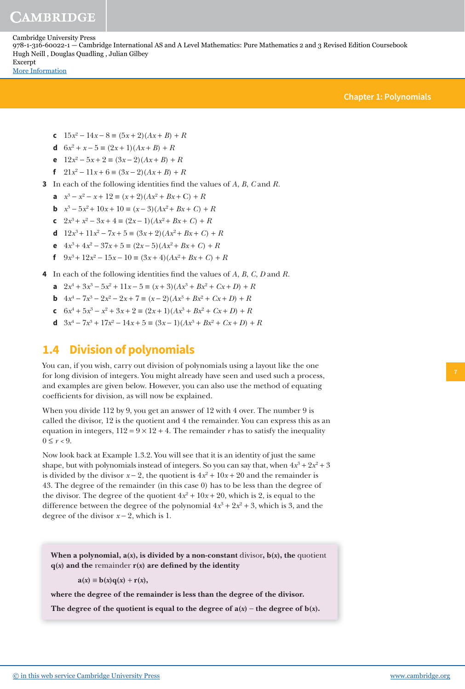# CAMBRIDGE

Cambridge University Press 978-1-316-60022-1 — Cambridge International AS and A Level Mathematics: Pure Mathematics 2 and 3 Revised Edition Coursebook Hugh Neill , Douglas Quadling , Julian Gilbey Excerpt [More Information](www.cambridge.org/9781316600221)

**Chapter 1: Polynomials**

- **c**  $15x^2 14x 8 \equiv (5x + 2)(Ax + B) + R$
- **d**  $6x^2 + x 5 \equiv (2x + 1)(Ax + B) + R$
- **e**  $12x^2 5x + 2 \equiv (3x 2)(Ax + B) + R$
- **f**  $21x^2 11x + 6 \equiv (3x 2)(Ax + B) + R$
- **3** In each of the following identities find the values of *A*, *B*, *C* and *R*.
- **a**  $x^3 x^2 x + 12 \equiv (x+2)(Ax^2 + Bx + C) + R$
- **b**  $x^3 5x^2 + 10x + 10 \equiv (x 3)(Ax^2 + Bx + C) + R$
- **c**  $2x^3 + x^2 3x + 4 \equiv (2x 1)(Ax^2 + Bx + C) + R$
- **d**  $12x^3 + 11x^2 7x + 5 \equiv (3x + 2)(Ax^2 + Bx + C) + R$
- **e**  $4x^3 + 4x^2 37x + 5 \equiv (2x 5)(Ax^2 + Bx + C) + R$
- **f**  $9x^3 + 12x^2 15x 10 \equiv (3x + 4)(Ax^2 + Bx + C) + R$
- **4** In each of the following identities find the values of *A*, *B*, *C*, *D* and *R*.
- **a**  $2x^4 + 3x^3 5x^2 + 11x 5 \equiv (x+3)(Ax^3 + Bx^2 + Cx + D) + R$
- **b**  $4x^4 7x^3 2x^2 2x + 7 \equiv (x 2)(Ax^3 + Bx^2 + Cx + D) + R$
- **c**  $6x^4 + 5x^3 x^2 + 3x + 2 \equiv (2x+1)(Ax^3 + Bx^2 + Cx + D) + R$
- **d**  $3x^4 7x^3 + 17x^2 14x + 5 \equiv (3x 1)(Ax^3 + Bx^2 + Cx + D) + R$

# **1.4 Division of polynomials**

You can, if you wish, carry out division of polynomials using a layout like the one for long division of integers. You might already have seen and used such a process, and examples are given below. However, you can also use the method of equating coefficients for division, as will now be explained.

When you divide 112 by 9, you get an answer of 12 with 4 over. The number 9 is called the divisor, 12 is the quotient and 4 the remainder. You can express this as an equation in integers,  $112 = 9 \times 12 + 4$ . The remainder *r* has to satisfy the inequality  $0 \leq r < 9$ .

Now look back at Example 1.3.2. You will see that it is an identity of just the same shape, but with polynomials instead of integers. So you can say that, when  $4x^3 + 2x^2 + 3$ is divided by the divisor  $x - 2$ , the quotient is  $4x^2 + 10x + 20$  and the remainder is 43. The degree of the remainder (in this case 0) has to be less than the degree of the divisor. The degree of the quotient  $4x^2 + 10x + 20$ , which is 2, is equal to the difference between the degree of the polynomial  $4x^3 + 2x^2 + 3$ , which is 3, and the degree of the divisor  $x - 2$ , which is 1.

When a polynomial,  $a(x)$ , is divided by a non-constant divisor,  $b(x)$ , the quotient  $q(x)$  and the remainder  $r(x)$  are defined by the identity

 $a(x) \equiv b(x)q(x) + r(x),$ 

**where the degree of the remainder is less than the degree of the divisor.**

The degree of the quotient is equal to the degree of  $a(x)$  – the degree of  $b(x)$ .

**7**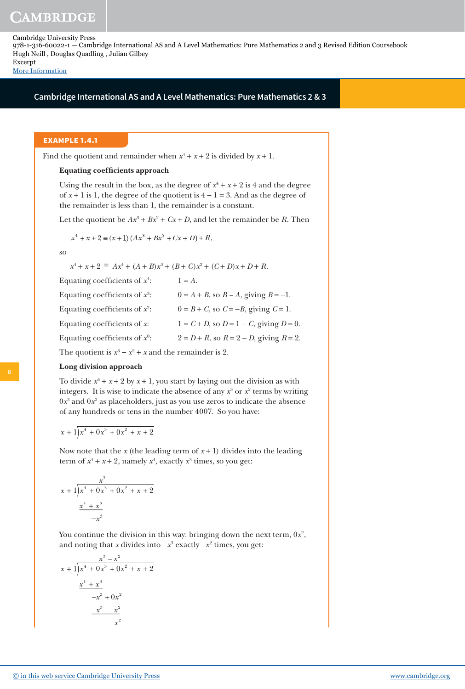[More Information](www.cambridge.org/9781316600221)

# **Cambridge International AS and A Level Mathematics: Pure Mathematics 2 & 3**

### **EXAMPLE 1.4.1**

Find the quotient and remainder when  $x^4 + x + 2$  is divided by  $x + 1$ .

### **Equating coefficients approach**

Using the result in the box, as the degree of  $x^4 + x + 2$  is 4 and the degree of  $x + 1$  is 1, the degree of the quotient is  $4 - 1 = 3$ . And as the degree of the remainder is less than 1, the remainder is a constant.

Let the quotient be  $Ax^3 + Bx^2 + Cx + D$ , and let the remainder be *R*. Then

$$
x^{4} + x + 2 \equiv (x + 1) (Ax^{3} + Bx^{2} + Cx + D) + R,
$$

so

 $x^4 + x + 2 \equiv Ax^4 + (A + B)x^3 + (B + C)x^2 + (C + D)x + D + R$ .

| $1 = A$ .                                       |
|-------------------------------------------------|
| $0 = A + B$ , so $B - A$ , giving $B = -1$ .    |
| $0 = B + C$ , so $C = -B$ , giving $C = 1$ .    |
| $1 = C + D$ , so $D = 1 - C$ , giving $D = 0$ . |
| $2 = D + R$ , so $R = 2 - D$ , giving $R = 2$ . |
|                                                 |

The quotient is  $x^3 - x^2 + x$  and the remainder is 2.

#### **Long division approach**

To divide  $x^4 + x + 2$  by  $x + 1$ , you start by laying out the division as with integers. It is wise to indicate the absence of any  $x^3$  or  $x^2$  terms by writing  $0x^3$  and  $0x^2$  as placeholders, just as you use zeros to indicate the absence of any hundreds or tens in the number 4007. So you have:

$$
x + 1\overline{\smash)x^4 + 0x^3 + 0x^2 + x + 2}
$$

Now note that the  $x$  (the leading term of  $x + 1$ ) divides into the leading term of  $x^4 + x + 2$ , namely  $x^4$ , exactly  $x^3$  times, so you get:

$$
\begin{array}{r} x^3 \\
x+1 \overline{\smash{\big)}x^4 + 0x^3 + 0x^2 + x + 2} \\
\underline{x^4 + x^3} \\
-x^3\n\end{array}
$$

You continue the division in this way: bringing down the next term,  $0x^2$ , and noting that *x* divides into  $-x^3$  exactly  $-x^2$  times, you get:

To divide 
$$
x^4 + x + 2
$$
 by  $x + 1$ ,  
integers. It is wise to indica  
 $0x^3$  and  $0x^2$  as placeholders,  
of any hundreds or tens in 1  
 $x + 1\overline{\smash)x^4 + 0x^3 + 0x^2 + x + 2}$   
Now note that the  $x$  (the let  
term of  $x^4 + x + 2$ , namely  $x$   
 $x + 1\overline{\smash)x^4 + 0x^3 + 0x^2 + x + 2}$   
 $\underline{x^4 + x^3}$   
 $-x^3$   
You continue the division in  
and noting that  $x$  divides in  
 $\frac{x^3 - x^2}{x^4 + 0x^3 + 0x^2 + x + 2}$   
 $\frac{x^4 + x^3}{-x^3 + 0x^2}$   
 $\frac{-x^3 - x^2}{-x^3}$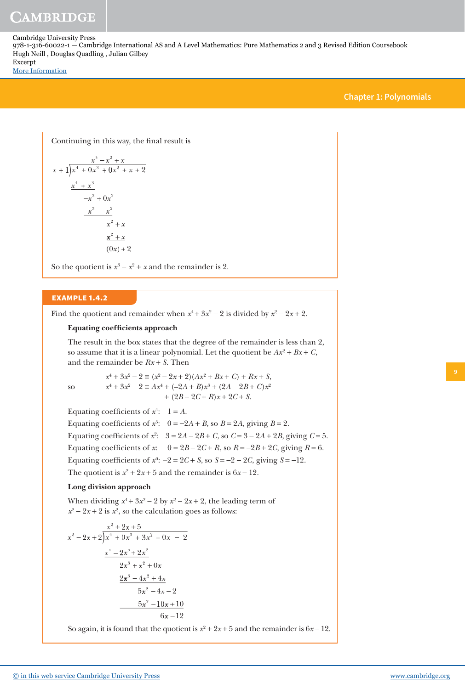[More Information](www.cambridge.org/9781316600221)

## **Chapter 1: Polynomials**

Continuing in this way, the final result is

$$
x + 1\overline{\smash)x^4 + 0x^3 + 0x^2 + x + 2}
$$
\n
$$
\underline{x^4 + x^3}
$$
\n
$$
-x^3 + 0x^2
$$
\n
$$
\underline{-x^3 - x^2}
$$
\n
$$
x^2 + x
$$
\n
$$
\underline{x^2 + x}
$$
\n
$$
(0x) + 2
$$

So the quotient is  $x^3 - x^2 + x$  and the remainder is 2.

## **EXAMPLE 1.4.2**

Find the quotient and remainder when  $x^4 + 3x^2 - 2$  is divided by  $x^2 - 2x + 2$ .

### **Equating coefficients approach**

The result in the box states that the degree of the remainder is less than 2, so assume that it is a linear polynomial. Let the quotient be  $Ax^2 + Bx + C$ , and the remainder be *Rx* + *S*. Then

so *x*

so 
$$
x^4 + 3x^2 - 2 \equiv (x^2 - 2x + 2)(Ax^2 + Bx + C) + Rx + S,
$$

$$
x^4 + 3x^2 - 2 \equiv Ax^4 + (-2A + B)x^3 + (2A - 2B + C)x^2
$$

$$
+ (2B - 2C + R)x + 2C + S.
$$

Equating coefficients of  $x^4$ :  $1 = A$ . Equating coefficients of  $x^3$ :  $0 = -2A + B$ , so  $B = 2A$ , giving  $B = 2$ . Equating coefficients of  $x^2$ :  $3 = 2A - 2B + C$ , so  $C = 3 - 2A + 2B$ , giving  $C = 5$ . Equating coefficients of  $x$ :  $0 = 2B - 2C + R$ , so  $R = -2B + 2C$ , giving  $R = 6$ . Equating coefficients of  $x^0$ :  $-2 = 2C + S$ , so  $S = -2 - 2C$ , giving  $S = -12$ . The quotient is  $x^2 + 2x + 5$  and the remainder is  $6x - 12$ .

#### **Long division approach**

When dividing  $x^4 + 3x^2 - 2$  by  $x^2 - 2x + 2$ , the leading term of  $x^2 - 2x + 2$  is  $x^2$ , so the calculation goes as follows:

$$
\begin{array}{r} x^2 + 2x + 5 \\ x^2 - 2x + 2 \overline{\smash{\big)}\ x^4 + 0x^3 + 3x^2 + 0x - 2} \\ \underline{x^4 - 2x^3 + 2x^2} \\ 2x^3 + x^2 + 0x \\ \underline{2x^3 - 4x^2 + 4x} \\ 5x^2 - 4x - 2 \\ \underline{-5x^2 - 10x + 10} \\ 6x - 12 \end{array}
$$

So again, it is found that the quotient is  $x^2 + 2x + 5$  and the remainder is  $6x - 12$ .